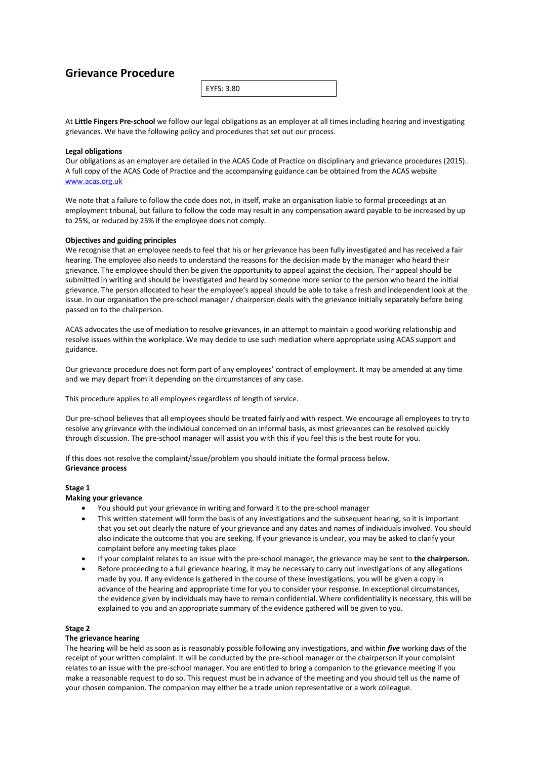# **Grievance Procedure**

EYFS: 3.80

At **Little Fingers Pre-school** we follow our legal obligations as an employer at all times including hearing and investigating grievances. We have the following policy and procedures that set out our process.

# **Legal obligations**

Our obligations as an employer are detailed in the ACAS Code of Practice on disciplinary and grievance procedures (2015).. A full copy of the ACAS Code of Practice and the accompanying guidance can be obtained from the ACAS website www.acas.org.uk

We note that a failure to follow the code does not, in itself, make an organisation liable to formal proceedings at an employment tribunal, but failure to follow the code may result in any compensation award payable to be increased by up to 25%, or reduced by 25% if the employee does not comply.

## **Objectives and guiding principles**

We recognise that an employee needs to feel that his or her grievance has been fully investigated and has received a fair hearing. The employee also needs to understand the reasons for the decision made by the manager who heard their grievance. The employee should then be given the opportunity to appeal against the decision. Their appeal should be submitted in writing and should be investigated and heard by someone more senior to the person who heard the initial grievance. The person allocated to hear the employee's appeal should be able to take a fresh and independent look at the issue. In our organisation the pre-school manager / chairperson deals with the grievance initially separately before being passed on to the chairperson.

ACAS advocates the use of mediation to resolve grievances, in an attempt to maintain a good working relationship and resolve issues within the workplace. We may decide to use such mediation where appropriate using ACAS support and guidance.

Our grievance procedure does not form part of any employees' contract of employment. It may be amended at any time and we may depart from it depending on the circumstances of any case.

This procedure applies to all employees regardless of length of service.

Our pre-school believes that all employees should be treated fairly and with respect. We encourage all employees to try to resolve any grievance with the individual concerned on an informal basis, as most grievances can be resolved quickly through discussion. The pre-school manager will assist you with this if you feel this is the best route for you.

If this does not resolve the complaint/issue/problem you should initiate the formal process below. **Grievance process**

## **Stage 1**

## **Making your grievance**

- You should put your grievance in writing and forward it to the pre-school manager
- This written statement will form the basis of any investigations and the subsequent hearing, so it is important that you set out clearly the nature of your grievance and any dates and names of individuals involved. You should also indicate the outcome that you are seeking. If your grievance is unclear, you may be asked to clarify your complaint before any meeting takes place
- If your complaint relates to an issue with the pre-school manager, the grievance may be sent to **the chairperson.**
- Before proceeding to a full grievance hearing, it may be necessary to carry out investigations of any allegations made by you. If any evidence is gathered in the course of these investigations, you will be given a copy in advance of the hearing and appropriate time for you to consider your response. In exceptional circumstances, the evidence given by individuals may have to remain confidential. Where confidentiality is necessary, this will be explained to you and an appropriate summary of the evidence gathered will be given to you.

## **Stage 2**

## **The grievance hearing**

The hearing will be held as soon as is reasonably possible following any investigations, and within *five* working days of the receipt of your written complaint. It will be conducted by the pre-school manager or the chairperson if your complaint relates to an issue with the pre-school manager. You are entitled to bring a companion to the grievance meeting if you make a reasonable request to do so. This request must be in advance of the meeting and you should tell us the name of your chosen companion. The companion may either be a trade union representative or a work colleague.